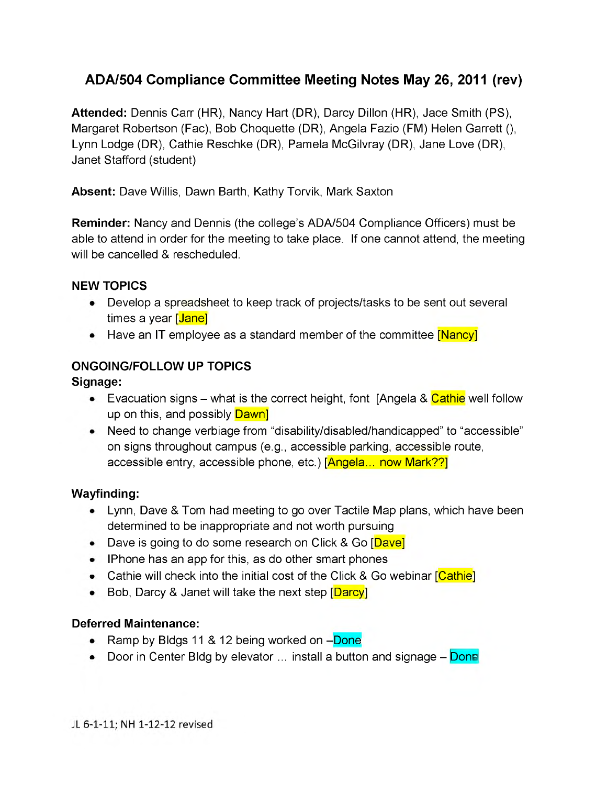# **ADA/504 Compliance Committee Meeting Notes May 26, 2011 (rev)**

**Attended:** Dennis Carr (HR), Nancy Hart (DR), Darcy Dillon (HR), Jace Smith (PS), Margaret Robertson (Fac), Bob Choquette (DR), Angela Fazio (FM) Helen Garrett (), Lynn Lodge (DR), Cathie Reschke (DR), Pamela McGilvray (DR), Jane Love (DR), Janet Stafford (student)

**Absent:** Dave Willis, Dawn Barth, Kathy Torvik, Mark Saxton

**Reminder:** Nancy and Dennis (the college's ADA/504 Compliance Officers) must be able to attend in order for the meeting to take place. If one cannot attend, the meeting will be cancelled & rescheduled.

#### **NEW TOPICS**

- Develop a spreadsheet to keep track of projects/tasks to be sent out several times a year [Jane]
- Have an IT employee as a standard member of the committee [Nancy]

## **ONGOING/FOLLOW UP TOPICS**

**Signage:**

- Evacuation signs what is the correct height, font [Angela &  $C$ athie well follow up on this, and possibly **Dawn**
- Need to change verbiage from "disability/disabled/handicapped" to "accessible" on signs throughout campus (e.g., accessible parking, accessible route, accessible entry, accessible phone, etc.) [Angela... now Mark??]

#### **Wayfinding:**

- Lynn, Dave & Tom had meeting to go over Tactile Map plans, which have been determined to be inappropriate and not worth pursuing
- Dave is going to do some research on Click & Go [Dave]
- IPhone has an app for this, as do other smart phones
- Cathie will check into the initial cost of the Click & Go webinar [Cathie]
- Bob, Darcy & Janet will take the next step [Darcy]

## **Deferred Maintenance:**

- Ramp by Bldgs 11 & 12 being worked on -Done
- Door in Center Bldg by elevator  $\ldots$  install a button and signage  $-$  Donn